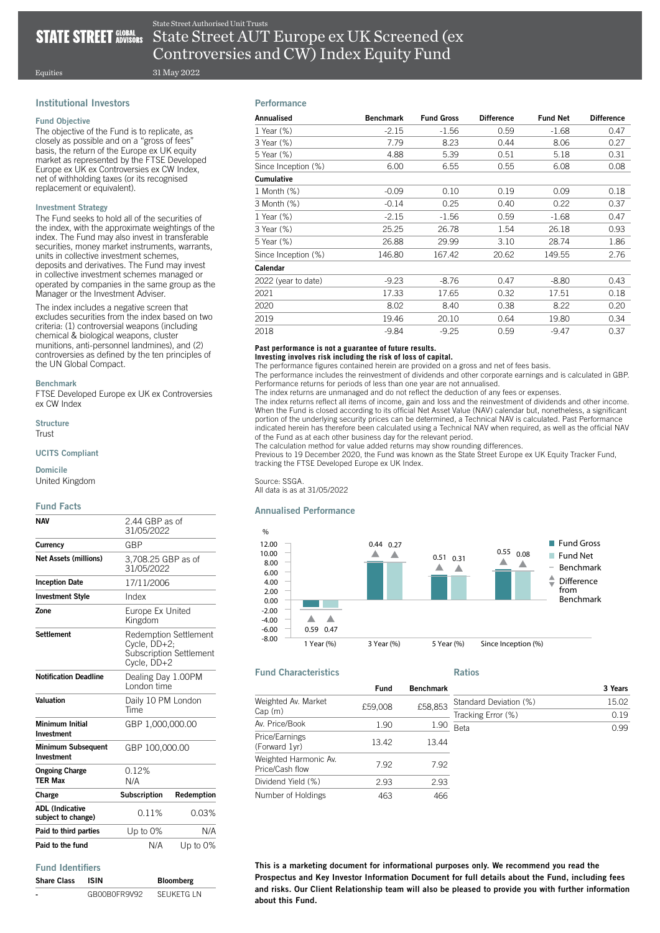## **STATE STREET GLOBAL**

State Street AUT Europe ex UK Screened (ex Controversies and CW) Index Equity Fund State Street Authorised Unit Trusts

Equities

## Institutional Investors

#### Fund Objective

The objective of the Fund is to replicate, as closely as possible and on a "gross of fees" basis, the return of the Europe ex UK equity market as represented by the FTSE Developed Europe ex UK ex Controversies ex CW Index, net of withholding taxes (or its recognised replacement or equivalent).

31 May 2022

## Investment Strategy

The Fund seeks to hold all of the securities of the index, with the approximate weightings of the index. The Fund may also invest in transferable securities, money market instruments, warrants, units in collective investment schemes, deposits and derivatives. The Fund may invest in collective investment schemes managed or operated by companies in the same group as the Manager or the Investment Adviser.

The index includes a negative screen that excludes securities from the index based on two criteria: (1) controversial weapons (including chemical & biological weapons, cluster munitions, anti-personnel landmines), and (2) controversies as defined by the ten principles of the UN Global Compact.

## Benchmark

FTSE Developed Europe ex UK ex Controversies ex CW Index

**Structure** Trust

## UCITS Compliant

## Domicile

United Kingdom

## Fund Facts

| <b>NAV</b>                                   | 2.44 GBP as of<br>31/05/2022                                                           |            |
|----------------------------------------------|----------------------------------------------------------------------------------------|------------|
| Currency                                     | GBP                                                                                    |            |
| <b>Net Assets (millions)</b>                 | 3,708.25 GBP as of<br>31/05/2022                                                       |            |
| <b>Inception Date</b>                        | 17/11/2006                                                                             |            |
| <b>Investment Style</b>                      | Index                                                                                  |            |
| Zone                                         | Europe Ex United<br>Kingdom                                                            |            |
| <b>Settlement</b>                            | Redemption Settlement<br>Cycle, DD+2;<br><b>Subscription Settlement</b><br>Cycle, DD+2 |            |
| <b>Notification Deadline</b>                 | Dealing Day 1.00PM<br>I ondon time                                                     |            |
| Valuation                                    | Daily 10 PM London<br><b>Time</b>                                                      |            |
| <b>Minimum Initial</b><br>Investment         | GBP 1.000.000.00                                                                       |            |
| <b>Minimum Subsequent</b><br>Investment      | GBP 100,000.00                                                                         |            |
| <b>Ongoing Charge</b><br><b>TER Max</b>      | 0.12%<br>N/A                                                                           |            |
| Charge                                       | Subscription                                                                           | Redemption |
| <b>ADL (Indicative</b><br>subject to change) | 0.11%                                                                                  | 0.03%      |
| Paid to third parties                        | Up to 0%                                                                               | N/A        |
| Paid to the fund                             | N/A                                                                                    | Up to 0%   |

## Fund Identifiers

| <b>Share Class</b> | ISIN         | <b>Bloomberg</b> |
|--------------------|--------------|------------------|
|                    | GB00B0FR9V92 | SELIKETG I N     |

## **Performance**

| Annualised          | <b>Benchmark</b> | <b>Fund Gross</b> | <b>Difference</b> | <b>Fund Net</b> | <b>Difference</b> |
|---------------------|------------------|-------------------|-------------------|-----------------|-------------------|
| 1 Year (%)          | $-2.15$          | $-1.56$           | 0.59              | $-1.68$         | 0.47              |
| 3 Year (%)          | 7.79             | 8.23              | 0.44              | 8.06            | 0.27              |
| 5 Year (%)          | 4.88             | 5.39              | 0.51              | 5.18            | 0.31              |
| Since Inception (%) | 6.00             | 6.55              | 0.55              | 6.08            | 0.08              |
| <b>Cumulative</b>   |                  |                   |                   |                 |                   |
| 1 Month (%)         | $-0.09$          | 0.10              | 0.19              | 0.09            | 0.18              |
| 3 Month (%)         | $-0.14$          | 0.25              | 0.40              | 0.22            | 0.37              |
| 1 Year $(\%)$       | $-2.15$          | $-1.56$           | 0.59              | $-1.68$         | 0.47              |
| 3 Year (%)          | 25.25            | 26.78             | 1.54              | 26.18           | 0.93              |
| 5 Year (%)          | 26.88            | 29.99             | 3.10              | 28.74           | 1.86              |
| Since Inception (%) | 146.80           | 167.42            | 20.62             | 149.55          | 2.76              |
| Calendar            |                  |                   |                   |                 |                   |
| 2022 (year to date) | $-9.23$          | $-8.76$           | 0.47              | $-8.80$         | 0.43              |
| 2021                | 17.33            | 17.65             | 0.32              | 17.51           | 0.18              |
| 2020                | 8.02             | 8.40              | 0.38              | 8.22            | 0.20              |
| 2019                | 19.46            | 20.10             | 0.64              | 19.80           | 0.34              |
| 2018                | $-9.84$          | $-9.25$           | 0.59              | $-9.47$         | 0.37              |

#### **Past performance is not a guarantee of future results. Investing involves risk including the risk of loss of capital.**

The performance figures contained herein are provided on a gross and net of fees basis. The performance includes the reinvestment of dividends and other corporate earnings and is calculated in GBP. Performance returns for periods of less than one year are not annualised.

The index returns are unmanaged and do not reflect the deduction of any fees or expenses.

The index returns reflect all items of income, gain and loss and the reinvestment of dividends and other income. When the Fund is closed according to its official Net Asset Value (NAV) calendar but, nonetheless, a significant portion of the underlying security prices can be determined, a Technical NAV is calculated. Past Performance indicated herein has therefore been calculated using a Technical NAV when required, as well as the official NAV of the Fund as at each other business day for the relevant period.

The calculation method for value added returns may show rounding differences.

Previous to 19 December 2020, the Fund was known as the State Street Europe ex UK Equity Tracker Fund, tracking the FTSE Developed Europe ex UK Index.

## Source: SSGA.

All data is as at 31/05/2022

## Annualised Performance



## Fund Characteristics

|                                          | <b>Fund</b> | <b>Benchmark</b> |                        | 3 Years            |      |
|------------------------------------------|-------------|------------------|------------------------|--------------------|------|
| Weighted Av. Market                      | £59,008     | £58.853          | Standard Deviation (%) | 15.02              |      |
| Cap (m)                                  |             |                  |                        | Tracking Error (%) | 0.19 |
| Av. Price/Book                           | 1.90        | 1.90             | Beta                   | 0.99               |      |
| Price/Earnings<br>(Forward 1yr)          | 13.42       | 13.44            |                        |                    |      |
| Weighted Harmonic Av.<br>Price/Cash flow | 7.92        | 7.92             |                        |                    |      |
| Dividend Yield (%)                       | 2.93        | 2.93             |                        |                    |      |
| Number of Holdings                       | 463         | 466              |                        |                    |      |

Ratios

This is a marketing document for informational purposes only. We recommend you read the Prospectus and Key Investor Information Document for full details about the Fund, including fees and risks. Our Client Relationship team will also be pleased to provide you with further information about this Fund.